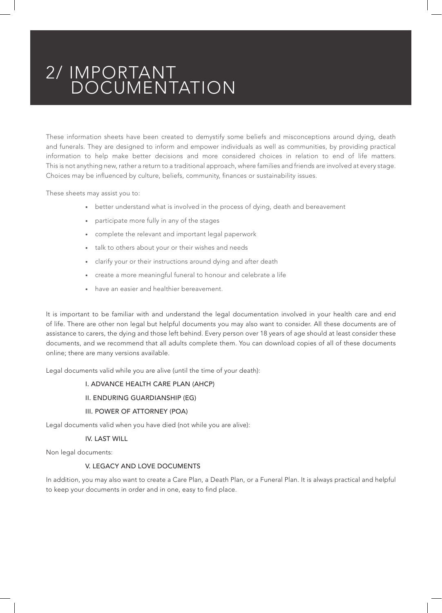These information sheets have been created to demystify some beliefs and misconceptions around dying, death and funerals. They are designed to inform and empower individuals as well as communities, by providing practical information to help make better decisions and more considered choices in relation to end of life matters. This is not anything new, rather a return to a traditional approach, where families and friends are involved at every stage. Choices may be influenced by culture, beliefs, community, finances or sustainability issues.

These sheets may assist you to:

- better understand what is involved in the process of dying, death and bereavement
- participate more fully in any of the stages
- complete the relevant and important legal paperwork
- talk to others about your or their wishes and needs
- clarify your or their instructions around dying and after death
- create a more meaningful funeral to honour and celebrate a life
- have an easier and healthier bereavement.

It is important to be familiar with and understand the legal documentation involved in your health care and end of life. There are other non legal but helpful documents you may also want to consider. All these documents are of assistance to carers, the dying and those left behind. Every person over 18 years of age should at least consider these documents, and we recommend that all adults complete them. You can download copies of all of these documents online; there are many versions available.

Legal documents valid while you are alive (until the time of your death):

# I. ADVANCE HEALTH CARE PLAN (AHCP)

### II. ENDURING GUARDIANSHIP (EG)

### III. POWER OF ATTORNEY (POA)

Legal documents valid when you have died (not while you are alive):

# IV. LAST WILL

Non legal documents:

# V. LEGACY AND LOVE DOCUMENTS

In addition, you may also want to create a Care Plan, a Death Plan, or a Funeral Plan. It is always practical and helpful to keep your documents in order and in one, easy to find place.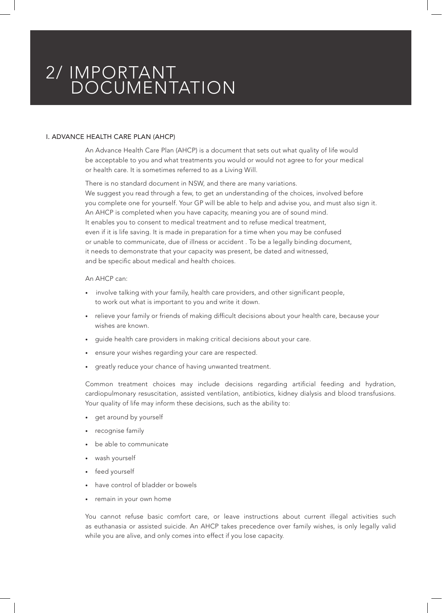# I. ADVANCE HEALTH CARE PLAN (AHCP)

An Advance Health Care Plan (AHCP) is a document that sets out what quality of life would be acceptable to you and what treatments you would or would not agree to for your medical or health care. It is sometimes referred to as a Living Will.

There is no standard document in NSW, and there are many variations. We suggest you read through a few, to get an understanding of the choices, involved before you complete one for yourself. Your GP will be able to help and advise you, and must also sign it. An AHCP is completed when you have capacity, meaning you are of sound mind. It enables you to consent to medical treatment and to refuse medical treatment, even if it is life saving. It is made in preparation for a time when you may be confused or unable to communicate, due of illness or accident . To be a legally binding document, it needs to demonstrate that your capacity was present, be dated and witnessed, and be specific about medical and health choices.

#### An AHCP can:

- involve talking with your family, health care providers, and other significant people, to work out what is important to you and write it down.
- relieve your family or friends of making difficult decisions about your health care, because your wishes are known.
- guide health care providers in making critical decisions about your care.
- ensure your wishes regarding your care are respected.
- greatly reduce your chance of having unwanted treatment.

Common treatment choices may include decisions regarding artificial feeding and hydration, cardiopulmonary resuscitation, assisted ventilation, antibiotics, kidney dialysis and blood transfusions. Your quality of life may inform these decisions, such as the ability to:

- get around by yourself
- recognise family
- be able to communicate
- wash yourself
- feed yourself
- have control of bladder or bowels
- remain in your own home

You cannot refuse basic comfort care, or leave instructions about current illegal activities such as euthanasia or assisted suicide. An AHCP takes precedence over family wishes, is only legally valid while you are alive, and only comes into effect if you lose capacity.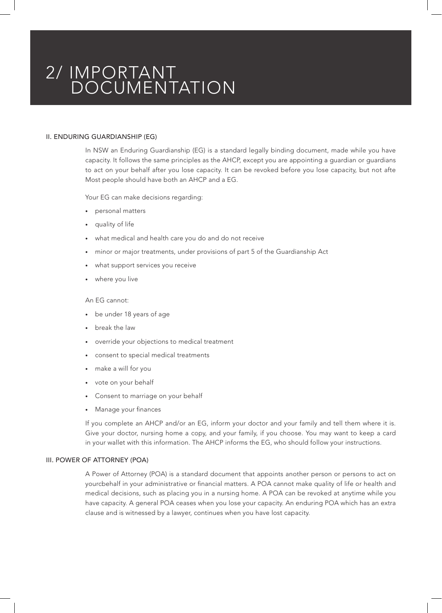# II. ENDURING GUARDIANSHIP (EG)

In NSW an Enduring Guardianship (EG) is a standard legally binding document, made while you have capacity. It follows the same principles as the AHCP, except you are appointing a guardian or guardians to act on your behalf after you lose capacity. It can be revoked before you lose capacity, but not afte Most people should have both an AHCP and a EG.

Your EG can make decisions regarding:

- personal matters
- quality of life
- what medical and health care you do and do not receive
- minor or major treatments, under provisions of part 5 of the Guardianship Act
- what support services you receive
- where you live

#### An EG cannot:

- be under 18 years of age
- break the law
- override your objections to medical treatment
- consent to special medical treatments
- make a will for you
- vote on your behalf
- Consent to marriage on your behalf
- Manage your finances

If you complete an AHCP and/or an EG, inform your doctor and your family and tell them where it is. Give your doctor, nursing home a copy, and your family, if you choose. You may want to keep a card in your wallet with this information. The AHCP informs the EG, who should follow your instructions.

# III. POWER OF ATTORNEY (POA)

A Power of Attorney (POA) is a standard document that appoints another person or persons to act on yourcbehalf in your administrative or financial matters. A POA cannot make quality of life or health and medical decisions, such as placing you in a nursing home. A POA can be revoked at anytime while you have capacity. A general POA ceases when you lose your capacity. An enduring POA which has an extra clause and is witnessed by a lawyer, continues when you have lost capacity.